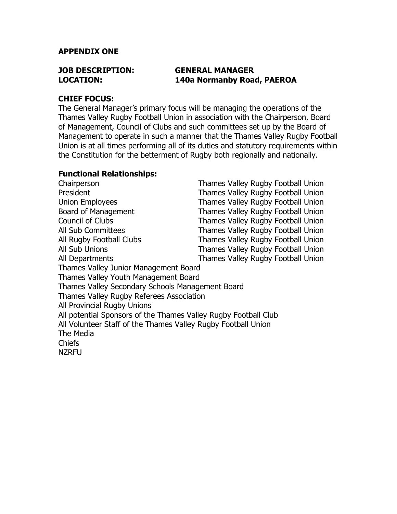### **APPENDIX ONE**

## **JOB DESCRIPTION: GENERAL MANAGER LOCATION: 140a Normanby Road, PAEROA**

#### **CHIEF FOCUS:**

The General Manager's primary focus will be managing the operations of the Thames Valley Rugby Football Union in association with the Chairperson, Board of Management, Council of Clubs and such committees set up by the Board of Management to operate in such a manner that the Thames Valley Rugby Football Union is at all times performing all of its duties and statutory requirements within the Constitution for the betterment of Rugby both regionally and nationally.

### **Functional Relationships:**

Chairperson Thames Valley Rugby Football Union President Thames Valley Rugby Football Union Union Employees Thames Valley Rugby Football Union Board of Management Thames Valley Rugby Football Union Council of Clubs Thames Valley Rugby Football Union All Sub Committees Thames Valley Rugby Football Union All Rugby Football Clubs Thames Valley Rugby Football Union All Sub Unions Thames Valley Rugby Football Union All Departments Thames Valley Rugby Football Union Thames Valley Junior Management Board Thames Valley Youth Management Board Thames Valley Secondary Schools Management Board Thames Valley Rugby Referees Association All Provincial Rugby Unions All potential Sponsors of the Thames Valley Rugby Football Club All Volunteer Staff of the Thames Valley Rugby Football Union The Media Chiefs **NZRFU**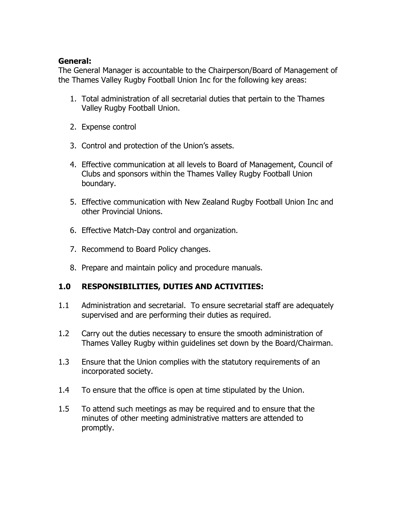## **General:**

The General Manager is accountable to the Chairperson/Board of Management of the Thames Valley Rugby Football Union Inc for the following key areas:

- 1. Total administration of all secretarial duties that pertain to the Thames Valley Rugby Football Union.
- 2. Expense control
- 3. Control and protection of the Union's assets.
- 4. Effective communication at all levels to Board of Management, Council of Clubs and sponsors within the Thames Valley Rugby Football Union boundary.
- 5. Effective communication with New Zealand Rugby Football Union Inc and other Provincial Unions.
- 6. Effective Match-Day control and organization.
- 7. Recommend to Board Policy changes.
- 8. Prepare and maintain policy and procedure manuals.

# **1.0 RESPONSIBILITIES, DUTIES AND ACTIVITIES:**

- 1.1 Administration and secretarial. To ensure secretarial staff are adequately supervised and are performing their duties as required.
- 1.2 Carry out the duties necessary to ensure the smooth administration of Thames Valley Rugby within guidelines set down by the Board/Chairman.
- 1.3 Ensure that the Union complies with the statutory requirements of an incorporated society.
- 1.4 To ensure that the office is open at time stipulated by the Union.
- 1.5 To attend such meetings as may be required and to ensure that the minutes of other meeting administrative matters are attended to promptly.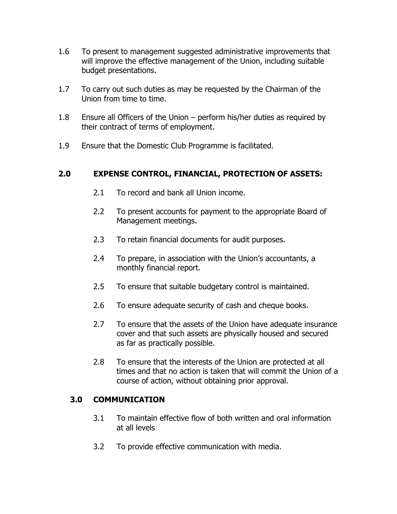- 1.6 To present to management suggested administrative improvements that will improve the effective management of the Union, including suitable budget presentations.
- 1.7 To carry out such duties as may be requested by the Chairman of the Union from time to time.
- 1.8 Ensure all Officers of the Union perform his/her duties as required by their contract of terms of employment.
- 1.9 Ensure that the Domestic Club Programme is facilitated.

# **2.0 EXPENSE CONTROL, FINANCIAL, PROTECTION OF ASSETS:**

- 2.1 To record and bank all Union income.
- 2.2 To present accounts for payment to the appropriate Board of Management meetings.
- 2.3 To retain financial documents for audit purposes.
- 2.4 To prepare, in association with the Union's accountants, a monthly financial report.
- 2.5 To ensure that suitable budgetary control is maintained.
- 2.6 To ensure adequate security of cash and cheque books.
- 2.7 To ensure that the assets of the Union have adequate insurance cover and that such assets are physically housed and secured as far as practically possible.
- 2.8 To ensure that the interests of the Union are protected at all times and that no action is taken that will commit the Union of a course of action, without obtaining prior approval.

## **3.0 COMMUNICATION**

- 3.1 To maintain effective flow of both written and oral information at all levels
- 3.2 To provide effective communication with media.